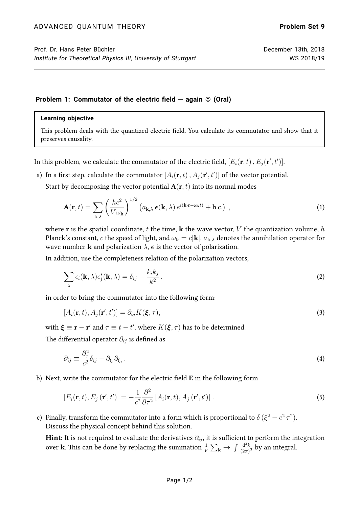## **Problem 1: Commutator of the electric field – again**  $\circ$  **(Oral)**

## **Learning objective**

This problem deals with the quantized electric field. You calculate its commutator and show that it preserves causality.

In this problem, we calculate the commutator of the electric field,  $[E_i({\bf r},t)$  ,  $E_j({\bf r}',t')].$ 

a) In a first step, calculate the commutator  $[A_i({\bf r},t) \, , A_j({\bf r}',t')]$  of the vector potential.

Start by decomposing the vector potential  $A(r, t)$  into its normal modes

$$
\mathbf{A}(\mathbf{r},t) = \sum_{\mathbf{k},\lambda} \left(\frac{hc^2}{V\omega_{\mathbf{k}}}\right)^{1/2} \left(a_{\mathbf{k},\lambda} \,\boldsymbol{\epsilon}(\mathbf{k},\lambda)\,e^{i(\mathbf{k}\cdot\mathbf{r}-\omega_{\mathbf{k}}t)} + \text{h.c.}\right) \,, \tag{1}
$$

where **r** is the spatial coordinate, t the time, **k** the wave vector, V the quantization volume, h Planck's constant, c the speed of light, and  $\omega_{\mathbf{k}} = c|\mathbf{k}|$ .  $a_{\mathbf{k},\lambda}$  denotes the annihilation operator for wave number **k** and polarization  $\lambda$ ,  $\epsilon$  is the vector of polarization.

In addition, use the completeness relation of the polarization vectors,

$$
\sum_{\lambda} \epsilon_i(\mathbf{k}, \lambda) \epsilon_j^*(\mathbf{k}, \lambda) = \delta_{ij} - \frac{k_i k_j}{k^2}, \qquad (2)
$$

in order to bring the commutator into the following form:

$$
[A_i(\mathbf{r},t), A_j(\mathbf{r}',t')] = \partial_{ij} K(\boldsymbol{\xi},\tau),
$$
\n(3)

with  $\boldsymbol{\xi} \equiv \mathbf{r} - \mathbf{r}'$  and  $\tau \equiv t - t'$ , where  $K(\boldsymbol{\xi}, \tau)$  has to be determined.

The differential operator  $\partial_{ij}$  is defined as

$$
\partial_{ij} \equiv \frac{\partial^2_{\tau}}{c^2} \delta_{ij} - \partial_{\xi_i} \partial_{\xi_j} . \tag{4}
$$

b) Next, write the commutator for the electric field E in the following form

$$
[E_i(\mathbf{r},t), E_j(\mathbf{r}',t')] = -\frac{1}{c^2} \frac{\partial^2}{\partial \tau^2} \left[ A_i(\mathbf{r},t), A_j(\mathbf{r}',t') \right]. \tag{5}
$$

c) Finally, transform the commutator into a form which is proportional to  $\delta(\xi^2 - c^2 \tau^2)$ . Discuss the physical concept behind this solution.

Hint: It is not required to evaluate the derivatives  $\partial_{ij}$ , it is sufficient to perform the integration over **k**. This can be done by replacing the summation  $\frac{1}{V}\sum_{\bf k}\to\int\frac{{\rm d}^3k}{(2\pi)^3}$  $\frac{d^3k}{(2\pi)^3}$  by an integral.